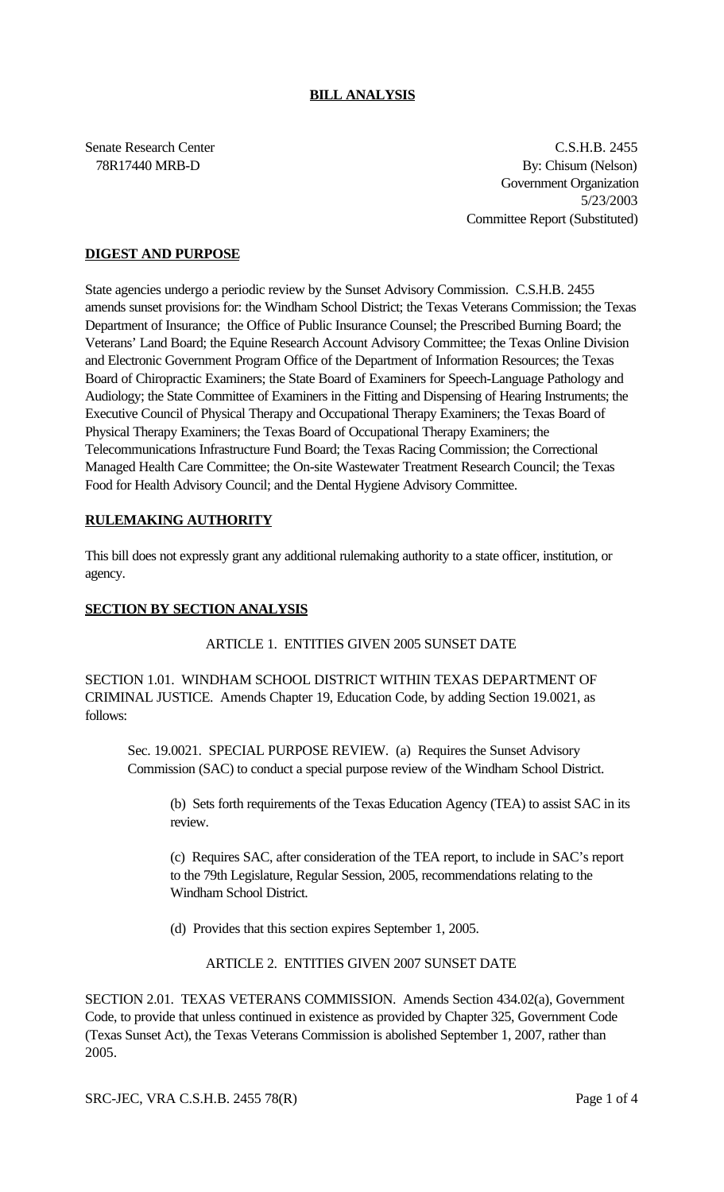## **BILL ANALYSIS**

Senate Research Center C.S.H.B. 2455 78R17440 MRB-D By: Chisum (Nelson) Government Organization 5/23/2003 Committee Report (Substituted)

## **DIGEST AND PURPOSE**

State agencies undergo a periodic review by the Sunset Advisory Commission. C.S.H.B. 2455 amends sunset provisions for: the Windham School District; the Texas Veterans Commission; the Texas Department of Insurance; the Office of Public Insurance Counsel; the Prescribed Burning Board; the Veterans' Land Board; the Equine Research Account Advisory Committee; the Texas Online Division and Electronic Government Program Office of the Department of Information Resources; the Texas Board of Chiropractic Examiners; the State Board of Examiners for Speech-Language Pathology and Audiology; the State Committee of Examiners in the Fitting and Dispensing of Hearing Instruments; the Executive Council of Physical Therapy and Occupational Therapy Examiners; the Texas Board of Physical Therapy Examiners; the Texas Board of Occupational Therapy Examiners; the Telecommunications Infrastructure Fund Board; the Texas Racing Commission; the Correctional Managed Health Care Committee; the On-site Wastewater Treatment Research Council; the Texas Food for Health Advisory Council; and the Dental Hygiene Advisory Committee.

## **RULEMAKING AUTHORITY**

This bill does not expressly grant any additional rulemaking authority to a state officer, institution, or agency.

#### **SECTION BY SECTION ANALYSIS**

#### ARTICLE 1. ENTITIES GIVEN 2005 SUNSET DATE

SECTION 1.01. WINDHAM SCHOOL DISTRICT WITHIN TEXAS DEPARTMENT OF CRIMINAL JUSTICE. Amends Chapter 19, Education Code, by adding Section 19.0021, as follows:

Sec. 19.0021. SPECIAL PURPOSE REVIEW. (a) Requires the Sunset Advisory Commission (SAC) to conduct a special purpose review of the Windham School District.

(b) Sets forth requirements of the Texas Education Agency (TEA) to assist SAC in its review.

(c) Requires SAC, after consideration of the TEA report, to include in SAC's report to the 79th Legislature, Regular Session, 2005, recommendations relating to the Windham School District.

(d) Provides that this section expires September 1, 2005.

ARTICLE 2. ENTITIES GIVEN 2007 SUNSET DATE

SECTION 2.01. TEXAS VETERANS COMMISSION. Amends Section 434.02(a), Government Code, to provide that unless continued in existence as provided by Chapter 325, Government Code (Texas Sunset Act), the Texas Veterans Commission is abolished September 1, 2007, rather than 2005.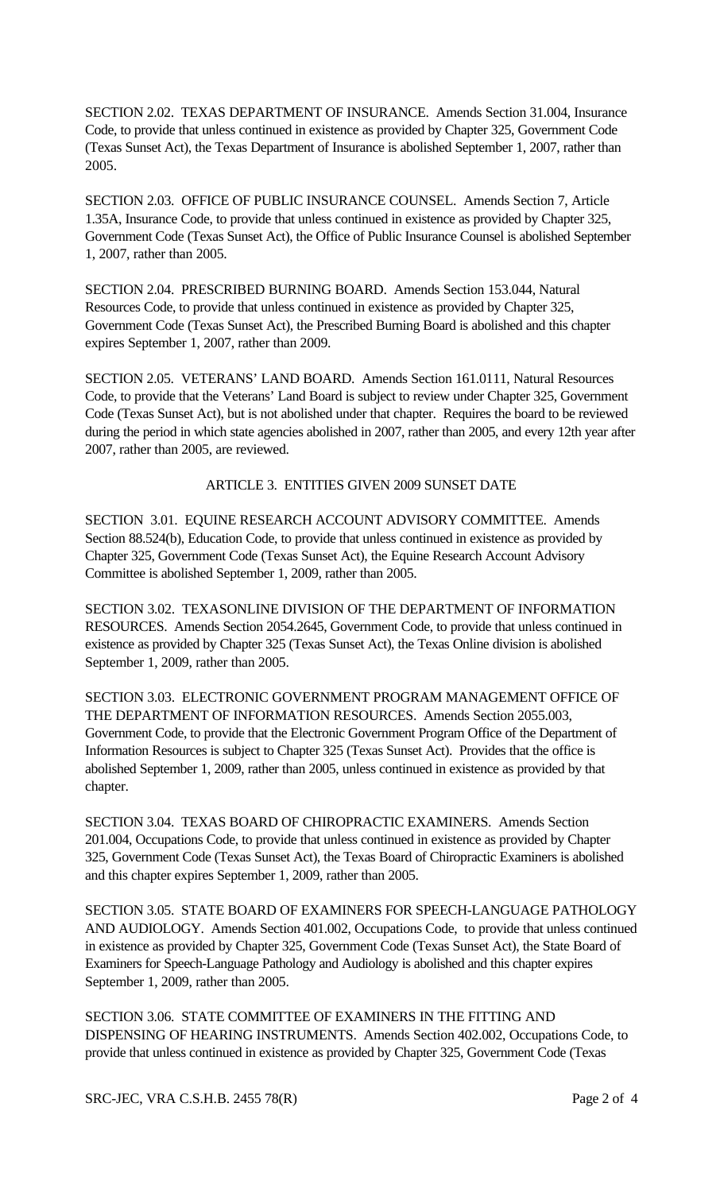SECTION 2.02. TEXAS DEPARTMENT OF INSURANCE. Amends Section 31.004, Insurance Code, to provide that unless continued in existence as provided by Chapter 325, Government Code (Texas Sunset Act), the Texas Department of Insurance is abolished September 1, 2007, rather than 2005.

SECTION 2.03. OFFICE OF PUBLIC INSURANCE COUNSEL. Amends Section 7, Article 1.35A, Insurance Code, to provide that unless continued in existence as provided by Chapter 325, Government Code (Texas Sunset Act), the Office of Public Insurance Counsel is abolished September 1, 2007, rather than 2005.

SECTION 2.04. PRESCRIBED BURNING BOARD. Amends Section 153.044, Natural Resources Code, to provide that unless continued in existence as provided by Chapter 325, Government Code (Texas Sunset Act), the Prescribed Burning Board is abolished and this chapter expires September 1, 2007, rather than 2009.

SECTION 2.05. VETERANS' LAND BOARD. Amends Section 161.0111, Natural Resources Code, to provide that the Veterans' Land Board is subject to review under Chapter 325, Government Code (Texas Sunset Act), but is not abolished under that chapter. Requires the board to be reviewed during the period in which state agencies abolished in 2007, rather than 2005, and every 12th year after 2007, rather than 2005, are reviewed.

## ARTICLE 3. ENTITIES GIVEN 2009 SUNSET DATE

SECTION 3.01. EQUINE RESEARCH ACCOUNT ADVISORY COMMITTEE. Amends Section 88.524(b), Education Code, to provide that unless continued in existence as provided by Chapter 325, Government Code (Texas Sunset Act), the Equine Research Account Advisory Committee is abolished September 1, 2009, rather than 2005.

SECTION 3.02. TEXASONLINE DIVISION OF THE DEPARTMENT OF INFORMATION RESOURCES. Amends Section 2054.2645, Government Code, to provide that unless continued in existence as provided by Chapter 325 (Texas Sunset Act), the Texas Online division is abolished September 1, 2009, rather than 2005.

SECTION 3.03. ELECTRONIC GOVERNMENT PROGRAM MANAGEMENT OFFICE OF THE DEPARTMENT OF INFORMATION RESOURCES. Amends Section 2055.003, Government Code, to provide that the Electronic Government Program Office of the Department of Information Resources is subject to Chapter 325 (Texas Sunset Act). Provides that the office is abolished September 1, 2009, rather than 2005, unless continued in existence as provided by that chapter.

SECTION 3.04. TEXAS BOARD OF CHIROPRACTIC EXAMINERS. Amends Section 201.004, Occupations Code, to provide that unless continued in existence as provided by Chapter 325, Government Code (Texas Sunset Act), the Texas Board of Chiropractic Examiners is abolished and this chapter expires September 1, 2009, rather than 2005.

SECTION 3.05. STATE BOARD OF EXAMINERS FOR SPEECH-LANGUAGE PATHOLOGY AND AUDIOLOGY. Amends Section 401.002, Occupations Code, to provide that unless continued in existence as provided by Chapter 325, Government Code (Texas Sunset Act), the State Board of Examiners for Speech-Language Pathology and Audiology is abolished and this chapter expires September 1, 2009, rather than 2005.

SECTION 3.06. STATE COMMITTEE OF EXAMINERS IN THE FITTING AND DISPENSING OF HEARING INSTRUMENTS. Amends Section 402.002, Occupations Code, to provide that unless continued in existence as provided by Chapter 325, Government Code (Texas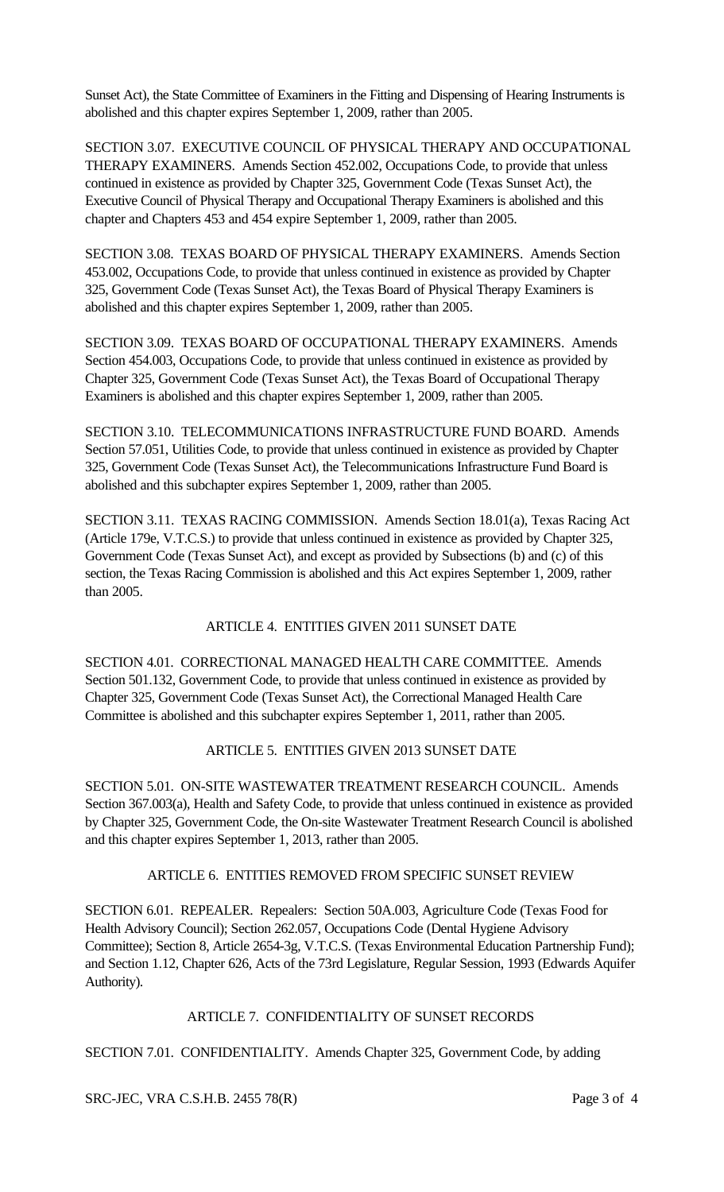Sunset Act), the State Committee of Examiners in the Fitting and Dispensing of Hearing Instruments is abolished and this chapter expires September 1, 2009, rather than 2005.

SECTION 3.07. EXECUTIVE COUNCIL OF PHYSICAL THERAPY AND OCCUPATIONAL THERAPY EXAMINERS. Amends Section 452.002, Occupations Code, to provide that unless continued in existence as provided by Chapter 325, Government Code (Texas Sunset Act), the Executive Council of Physical Therapy and Occupational Therapy Examiners is abolished and this chapter and Chapters 453 and 454 expire September 1, 2009, rather than 2005.

SECTION 3.08. TEXAS BOARD OF PHYSICAL THERAPY EXAMINERS. Amends Section 453.002, Occupations Code, to provide that unless continued in existence as provided by Chapter 325, Government Code (Texas Sunset Act), the Texas Board of Physical Therapy Examiners is abolished and this chapter expires September 1, 2009, rather than 2005.

SECTION 3.09. TEXAS BOARD OF OCCUPATIONAL THERAPY EXAMINERS. Amends Section 454.003, Occupations Code, to provide that unless continued in existence as provided by Chapter 325, Government Code (Texas Sunset Act), the Texas Board of Occupational Therapy Examiners is abolished and this chapter expires September 1, 2009, rather than 2005.

SECTION 3.10. TELECOMMUNICATIONS INFRASTRUCTURE FUND BOARD. Amends Section 57.051, Utilities Code, to provide that unless continued in existence as provided by Chapter 325, Government Code (Texas Sunset Act), the Telecommunications Infrastructure Fund Board is abolished and this subchapter expires September 1, 2009, rather than 2005.

SECTION 3.11. TEXAS RACING COMMISSION. Amends Section 18.01(a), Texas Racing Act (Article 179e, V.T.C.S.) to provide that unless continued in existence as provided by Chapter 325, Government Code (Texas Sunset Act), and except as provided by Subsections (b) and (c) of this section, the Texas Racing Commission is abolished and this Act expires September 1, 2009, rather than 2005.

# ARTICLE 4. ENTITIES GIVEN 2011 SUNSET DATE

SECTION 4.01. CORRECTIONAL MANAGED HEALTH CARE COMMITTEE. Amends Section 501.132, Government Code, to provide that unless continued in existence as provided by Chapter 325, Government Code (Texas Sunset Act), the Correctional Managed Health Care Committee is abolished and this subchapter expires September 1, 2011, rather than 2005.

# ARTICLE 5. ENTITIES GIVEN 2013 SUNSET DATE

SECTION 5.01. ON-SITE WASTEWATER TREATMENT RESEARCH COUNCIL. Amends Section 367.003(a), Health and Safety Code, to provide that unless continued in existence as provided by Chapter 325, Government Code, the On-site Wastewater Treatment Research Council is abolished and this chapter expires September 1, 2013, rather than 2005.

## ARTICLE 6. ENTITIES REMOVED FROM SPECIFIC SUNSET REVIEW

SECTION 6.01. REPEALER. Repealers: Section 50A.003, Agriculture Code (Texas Food for Health Advisory Council); Section 262.057, Occupations Code (Dental Hygiene Advisory Committee); Section 8, Article 2654-3g, V.T.C.S. (Texas Environmental Education Partnership Fund); and Section 1.12, Chapter 626, Acts of the 73rd Legislature, Regular Session, 1993 (Edwards Aquifer Authority).

## ARTICLE 7. CONFIDENTIALITY OF SUNSET RECORDS

SECTION 7.01. CONFIDENTIALITY. Amends Chapter 325, Government Code, by adding

SRC-JEC, VRA C.S.H.B. 2455 78(R) Page 3 of 4